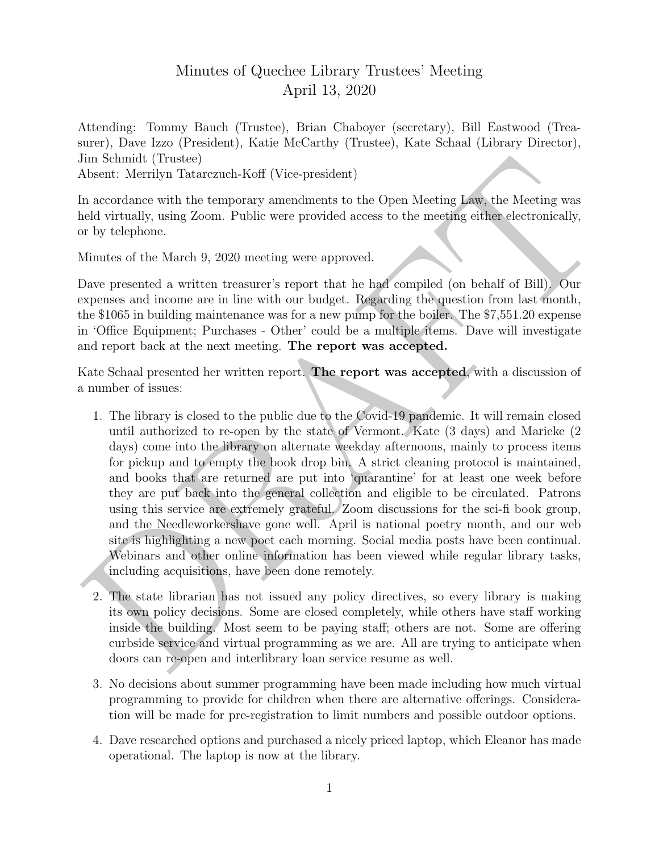## Minutes of Quechee Library Trustees' Meeting April 13, 2020

Attending: Tommy Bauch (Trustee), Brian Chaboyer (secretary), Bill Eastwood (Treasurer), Dave Izzo (President), Katie McCarthy (Trustee), Kate Schaal (Library Director), Jim Schmidt (Trustee)

Absent: Merrilyn Tatarczuch-Koff (Vice-president)

In accordance with the temporary amendments to the Open Meeting Law, the Meeting was held virtually, using Zoom. Public were provided access to the meeting either electronically, or by telephone.

Minutes of the March 9, 2020 meeting were approved.

Dave presented a written treasurer's report that he had compiled (on behalf of Bill). Our expenses and income are in line with our budget. Regarding the question from last month, the \$1065 in building maintenance was for a new pump for the boiler. The \$7,551.20 expense in 'Office Equipment; Purchases - Other' could be a multiple items. Dave will investigate and report back at the next meeting. The report was accepted.

Kate Schaal presented her written report. The report was accepted, with a discussion of a number of issues:

- lim schmidt (Trutece)<br>
Masont: Merrillyn Takar<br>zoneh-Koff (Vice-president)<br>
Masont: Merrillyn Takar<br>zoneh-Koff (Vice-president)<br>
an accordance with the temperary amendments to the Open Meeting Law, the Meeting was<br>
and vi 1. The library is closed to the public due to the Covid-19 pandemic. It will remain closed until authorized to re-open by the state of Vermont. Kate (3 days) and Marieke (2 days) come into the library on alternate weekday afternoons, mainly to process items for pickup and to empty the book drop bin. A strict cleaning protocol is maintained, and books that are returned are put into 'quarantine' for at least one week before they are put back into the general collection and eligible to be circulated. Patrons using this service are extremely grateful. Zoom discussions for the sci-fi book group, and the Needleworkershave gone well. April is national poetry month, and our web site is highlighting a new poet each morning. Social media posts have been continual. Webinars and other online information has been viewed while regular library tasks, including acquisitions, have been done remotely.
	- 2. The state librarian has not issued any policy directives, so every library is making its own policy decisions. Some are closed completely, while others have staff working inside the building. Most seem to be paying staff; others are not. Some are offering curbside service and virtual programming as we are. All are trying to anticipate when doors can re-open and interlibrary loan service resume as well.
	- 3. No decisions about summer programming have been made including how much virtual programming to provide for children when there are alternative offerings. Consideration will be made for pre-registration to limit numbers and possible outdoor options.
	- 4. Dave researched options and purchased a nicely priced laptop, which Eleanor has made operational. The laptop is now at the library.